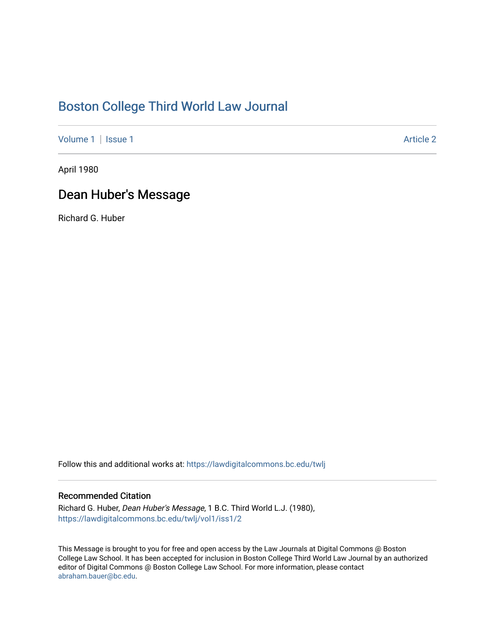## [Boston College Third World Law Journal](https://lawdigitalcommons.bc.edu/twlj)

[Volume 1](https://lawdigitalcommons.bc.edu/twlj/vol1) | [Issue 1](https://lawdigitalcommons.bc.edu/twlj/vol1/iss1) Article 2

April 1980

## Dean Huber's Message

Richard G. Huber

Follow this and additional works at: [https://lawdigitalcommons.bc.edu/twlj](https://lawdigitalcommons.bc.edu/twlj?utm_source=lawdigitalcommons.bc.edu%2Ftwlj%2Fvol1%2Fiss1%2F2&utm_medium=PDF&utm_campaign=PDFCoverPages) 

## Recommended Citation

Richard G. Huber, Dean Huber's Message, 1 B.C. Third World L.J. (1980), [https://lawdigitalcommons.bc.edu/twlj/vol1/iss1/2](https://lawdigitalcommons.bc.edu/twlj/vol1/iss1/2?utm_source=lawdigitalcommons.bc.edu%2Ftwlj%2Fvol1%2Fiss1%2F2&utm_medium=PDF&utm_campaign=PDFCoverPages) 

This Message is brought to you for free and open access by the Law Journals at Digital Commons @ Boston College Law School. It has been accepted for inclusion in Boston College Third World Law Journal by an authorized editor of Digital Commons @ Boston College Law School. For more information, please contact [abraham.bauer@bc.edu.](mailto:abraham.bauer@bc.edu)